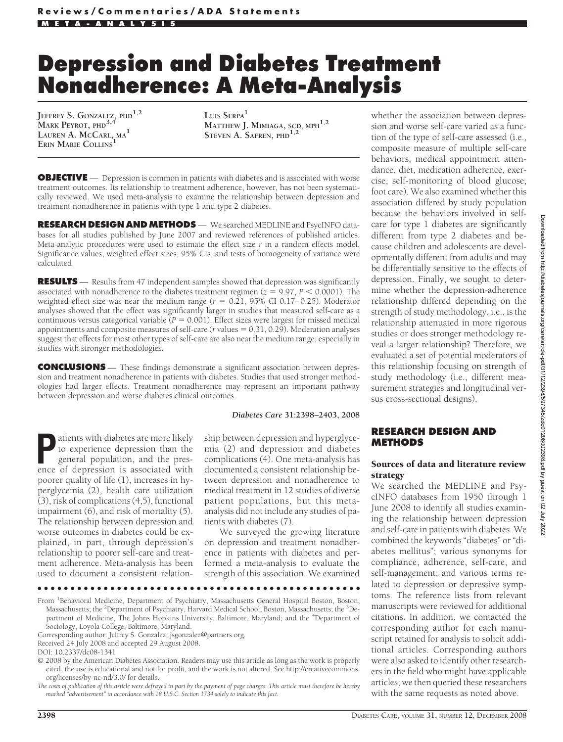# **Depression and Diabetes Treatment Nonadherence: A Meta-Analysis**

**JEFFREY S. GONZALEZ, PHD1,2 MARK PEYROT, PHD3,4 LAUREN A. MCCARL, MA<sup>1</sup> ERIN MARIE** COLLINS

**LUIS SERPA<sup>1</sup> MATTHEW J. MIMIAGA, SCD, MPH1,2 STEVEN A. SAFREN, PHD1,2**

**OBJECTIVE** — Depression is common in patients with diabetes and is associated with worse treatment outcomes. Its relationship to treatment adherence, however, has not been systematically reviewed. We used meta-analysis to examine the relationship between depression and treatment nonadherence in patients with type 1 and type 2 diabetes.

**RESEARCH DESIGN ANDMETHODS** — We searched MEDLINE and PsycINFO databases for all studies published by June 2007 and reviewed references of published articles. Meta-analytic procedures were used to estimate the effect size *r* in a random effects model. Significance values, weighted effect sizes, 95% CIs, and tests of homogeneity of variance were calculated.

**RESULTS** — Results from 47 independent samples showed that depression was significantly associated with nonadherence to the diabetes treatment regimen  $(z = 9.97, P < 0.0001)$ . The weighted effect size was near the medium range  $(r = 0.21, 95\% \text{ CI } 0.17-0.25)$ . Moderator analyses showed that the effect was significantly larger in studies that measured self-care as a continuous versus categorical variable  $\overline{(P = 0.001)}$ . Effect sizes were largest for missed medical appointments and composite measures of self-care ( $r$  values  $= 0.31, 0.29$ ). Moderation analyses suggest that effects for most other types of self-care are also near the medium range, especially in studies with stronger methodologies.

**CONCLUSIONS** — These findings demonstrate a significant association between depression and treatment nonadherence in patients with diabetes. Studies that used stronger methodologies had larger effects. Treatment nonadherence may represent an important pathway between depression and worse diabetes clinical outcomes.

#### *Diabetes Care* **31:2398–2403, 2008**

**P**atients with diabetes are more likely to experience depression than the general population, and the presence of depression is associated with to experience depression than the general population, and the presence of depression is associated with poorer quality of life (1), increases in hyperglycemia (2), health care utilization (3), risk of complications (4,5), functional impairment (6), and risk of mortality (5). The relationship between depression and worse outcomes in diabetes could be explained, in part, through depression's relationship to poorer self-care and treatment adherence. Meta-analysis has been used to document a consistent relation-

ship between depression and hyperglycemia (2) and depression and diabetes complications (4). One meta-analysis has documented a consistent relationship between depression and nonadherence to medical treatment in 12 studies of diverse patient populations, but this metaanalysis did not include any studies of patients with diabetes (7).

We surveyed the growing literature on depression and treatment nonadherence in patients with diabetes and performed a meta-analysis to evaluate the strength of this association. We examined

●●●●●●●●●●●●●●●●●●●●●●●●●●●●●●●●●●●●●●●●●●●●●●●●●

whether the association between depression and worse self-care varied as a function of the type of self-care assessed (i.e., composite measure of multiple self-care behaviors, medical appointment attendance, diet, medication adherence, exercise, self-monitoring of blood glucose, foot care). We also examined whether this association differed by study population because the behaviors involved in selfcare for type 1 diabetes are significantly different from type 2 diabetes and because children and adolescents are developmentally different from adults and may be differentially sensitive to the effects of depression. Finally, we sought to determine whether the depression-adherence relationship differed depending on the strength of study methodology, i.e., is the relationship attenuated in more rigorous studies or does stronger methodology reveal a larger relationship? Therefore, we evaluated a set of potential moderators of this relationship focusing on strength of study methodology (i.e., different measurement strategies and longitudinal versus cross-sectional designs).

#### **RESEARCH DESIGN AND METHODS**

### Sources of data and literature review strategy

We searched the MEDLINE and PsycINFO databases from 1950 through 1 June 2008 to identify all studies examining the relationship between depression and self-care in patients with diabetes. We combined the keywords "diabetes" or "diabetes mellitus"; various synonyms for compliance, adherence, self-care, and self-management; and various terms related to depression or depressive symptoms. The reference lists from relevant manuscripts were reviewed for additional citations. In addition, we contacted the corresponding author for each manuscript retained for analysis to solicit additional articles. Corresponding authors were also asked to identify other researchers in the field who might have applicable articles; we then queried these researchers with the same requests as noted above.

From <sup>1</sup> Behavioral Medicine, Department of Psychiatry, Massachusetts General Hospital Boston, Boston, Massachusetts; the <sup>2</sup>Department of Psychiatry, Harvard Medical School, Boston, Massachusetts; the <sup>3</sup>Department of Medicine, The Johns Hopkins University, Baltimore, Maryland; and the <sup>4</sup>Department of Sociology, Loyola College, Baltimore, Maryland.

Corresponding author: Jeffrey S. Gonzalez, jsgonzalez@partners.org.

Received 24 July 2008 and accepted 29 August 2008.

DOI: 10.2337/dc08-1341

<sup>© 2008</sup> by the American Diabetes Association. Readers may use this article as long as the work is properly cited, the use is educational and not for profit, and the work is not altered. See http://creativecommons. org/licenses/by-nc-nd/3.0/ for details.

*The costs of publication of this article were defrayed in part by the payment of page charges. This article must therefore be hereby marked "advertisement" in accordance with 18 U.S.C. Section 1734 solely to indicate this fact.*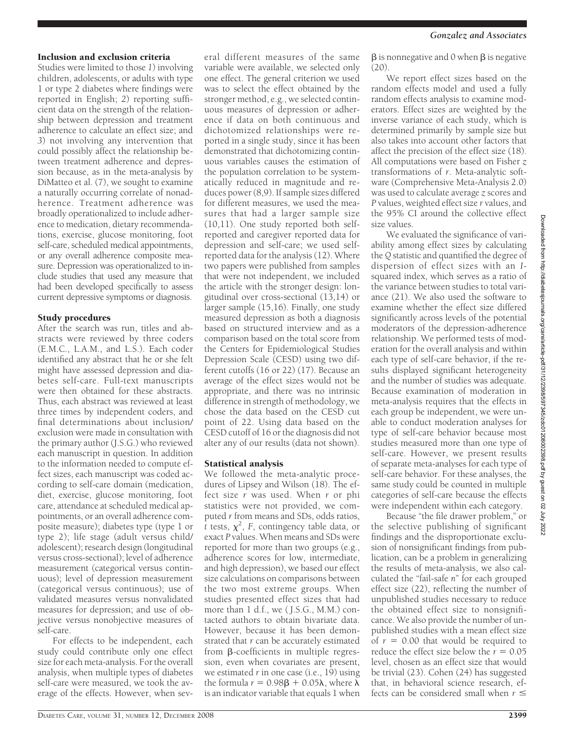## Inclusion and exclusion criteria

Studies were limited to those *1*) involving children, adolescents, or adults with type 1 or type 2 diabetes where findings were reported in English; *2*) reporting sufficient data on the strength of the relationship between depression and treatment adherence to calculate an effect size; and *3*) not involving any intervention that could possibly affect the relationship between treatment adherence and depression because, as in the meta-analysis by DiMatteo et al. (7), we sought to examine a naturally occurring correlate of nonadherence. Treatment adherence was broadly operationalized to include adherence to medication, dietary recommendations, exercise, glucose monitoring, foot self-care, scheduled medical appointments, or any overall adherence composite measure. Depression was operationalized to include studies that used any measure that had been developed specifically to assess current depressive symptoms or diagnosis.

#### Study procedures

After the search was run, titles and abstracts were reviewed by three coders (E.M.C., L.A.M., and L.S.). Each coder identified any abstract that he or she felt might have assessed depression and diabetes self-care. Full-text manuscripts were then obtained for these abstracts. Thus, each abstract was reviewed at least three times by independent coders, and final determinations about inclusion/ exclusion were made in consultation with the primary author (J.S.G.) who reviewed each manuscript in question. In addition to the information needed to compute effect sizes, each manuscript was coded according to self-care domain (medication, diet, exercise, glucose monitoring, foot care, attendance at scheduled medical appointments, or an overall adherence composite measure); diabetes type (type 1 or type 2); life stage (adult versus child/ adolescent); research design (longitudinal versus cross-sectional); level of adherence measurement (categorical versus continuous); level of depression measurement (categorical versus continuous); use of validated measures versus nonvalidated measures for depression; and use of objective versus nonobjective measures of self-care.

For effects to be independent, each study could contribute only one effect size for each meta-analysis. For the overall analysis, when multiple types of diabetes self-care were measured, we took the average of the effects. However, when sev-

eral different measures of the same variable were available, we selected only one effect. The general criterion we used was to select the effect obtained by the stronger method, e.g., we selected continuous measures of depression or adherence if data on both continuous and dichotomized relationships were reported in a single study, since it has been demonstrated that dichotomizing continuous variables causes the estimation of the population correlation to be systematically reduced in magnitude and reduces power (8,9). If sample sizes differed for different measures, we used the measures that had a larger sample size (10,11). One study reported both selfreported and caregiver reported data for depression and self-care; we used selfreported data for the analysis (12). Where two papers were published from samples that were not independent, we included the article with the stronger design: longitudinal over cross-sectional (13,14) or larger sample (15,16). Finally, one study measured depression as both a diagnosis based on structured interview and as a comparison based on the total score from the Centers for Epidemiological Studies Depression Scale (CESD) using two different cutoffs (16 or 22) (17). Because an average of the effect sizes would not be appropriate, and there was no intrinsic difference in strength of methodology, we chose the data based on the CESD cut point of 22. Using data based on the CESD cutoff of 16 or the diagnosis did not alter any of our results (data not shown).

#### Statistical analysis

We followed the meta-analytic procedures of Lipsey and Wilson (18). The effect size *r* was used. When *r* or phi statistics were not provided, we computed *r* from means and SDs, odds ratios,  $\int t$  tests,  $\chi^2$ , F, contingency table data, or exact *P* values. When means and SDs were reported for more than two groups (e.g., adherence scores for low, intermediate, and high depression), we based our effect size calculations on comparisons between the two most extreme groups. When studies presented effect sizes that had more than 1 d.f., we ( J.S.G., M.M.) contacted authors to obtain bivariate data. However, because it has been demonstrated that *r* can be accurately estimated from  $\beta$ -coefficients in multiple regression, even when covariates are present, we estimated *r* in one case (i.e., 19) using the formula  $r = 0.98\beta + 0.05\lambda$ , where  $\breve{\lambda}$ is an indicator variable that equals 1 when

 $\beta$  is nonnegative and 0 when  $\beta$  is negative  $(20)$ .

We report effect sizes based on the random effects model and used a fully random effects analysis to examine moderators. Effect sizes are weighted by the inverse variance of each study, which is determined primarily by sample size but also takes into account other factors that affect the precision of the effect size (18). All computations were based on Fisher *z* transformations of *r*. Meta-analytic software (Comprehensive Meta-Analysis 2.0) was used to calculate average *z* scores and *P* values, weighted effect size *r* values, and the 95% CI around the collective effect size values.

We evaluated the significance of variability among effect sizes by calculating the *Q* statistic and quantified the degree of dispersion of effect sizes with an *I*squared index, which serves as a ratio of the variance between studies to total variance (21). We also used the software to examine whether the effect size differed significantly across levels of the potential moderators of the depression-adherence relationship. We performed tests of moderation for the overall analysis and within each type of self-care behavior, if the results displayed significant heterogeneity and the number of studies was adequate. Because examination of moderation in meta-analysis requires that the effects in each group be independent, we were unable to conduct moderation analyses for type of self-care behavior because most studies measured more than one type of self-care. However, we present results of separate meta-analyses for each type of self-care behavior. For these analyses, the same study could be counted in multiple categories of self-care because the effects were independent within each category.

Because "the file drawer problem," or the selective publishing of significant findings and the disproportionate exclusion of nonsignificant findings from publication, can be a problem in generalizing the results of meta-analysis, we also calculated the "fail-safe *n*" for each grouped effect size (22), reflecting the number of unpublished studies necessary to reduce the obtained effect size to nonsignificance. We also provide the number of unpublished studies with a mean effect size of  $r = 0.00$  that would be required to reduce the effect size below the  $r = 0.05$ level, chosen as an effect size that would be trivial (23). Cohen (24) has suggested that, in behavioral science research, effects can be considered small when  $r \leq$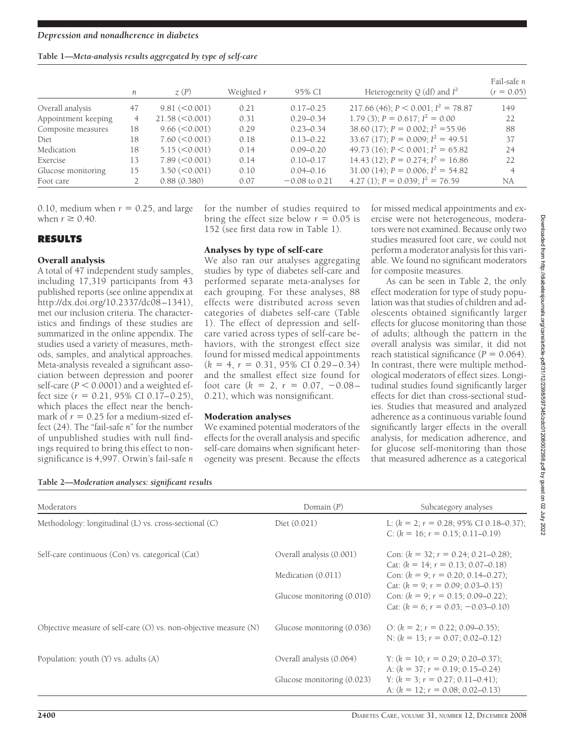|  |  | Table 1-Meta-analysis results aggregated by type of self-care |  |  |
|--|--|---------------------------------------------------------------|--|--|
|  |  |                                                               |  |  |

|                     | n  | $\chi(P)$           | Weighted r | 95% CI          | Heterogeneity $Q$ (df) and $I^2$         | Fail-safe n<br>$(r = 0.05)$ |
|---------------------|----|---------------------|------------|-----------------|------------------------------------------|-----------------------------|
| Overall analysis    | 47 | 9.81 (< 0.001)      | 0.21       | $0.17 - 0.25$   | 217.66 (46); $P < 0.001$ ; $I^2 = 78.87$ | 149                         |
| Appointment keeping |    | 21.58 (< 0.001)     | 0.31       | $0.29 - 0.34$   | 1.79 (3); $P = 0.617$ ; $I^2 = 0.00$     | 22                          |
| Composite measures  | 18 | $9.66 \, (<0.001)$  | 0.29       | $0.23 - 0.34$   | 38.60 (17); $P = 0.002$ ; $I^2 = 55.96$  | 88                          |
| Diet                | 18 | $7.60 \, (< 0.001)$ | 0.18       | $0.13 - 0.22$   | 33.67 (17); $P = 0.009$ ; $I^2 = 49.51$  | 37                          |
| Medication          | 18 | $5.15 \, (<0.001)$  | 0.14       | $0.09 - 0.20$   | 49.73 (16); $P < 0.001$ ; $I^2 = 65.82$  | 24                          |
| Exercise            | 13 | 7.89 (< 0.001)      | 0.14       | $0.10 - 0.17$   | 14.43 (12); $P = 0.274$ ; $I^2 = 16.86$  | 22                          |
| Glucose monitoring  | 15 | $3.50 \, (< 0.001)$ | 0.10       | $0.04 - 0.16$   | 31.00 (14); $P = 0.006$ ; $I^2 = 54.82$  | 4                           |
| Foot care           |    | 0.88(0.380)         | 0.07       | $-0.08$ to 0.21 | 4.27 (1); $P = 0.039$ ; $I^2 = 76.59$    | NA                          |

0.10, medium when  $r = 0.25$ , and large when  $r \geq 0.40$ .

## **RESULTS**

## Overall analysis

A total of 47 independent study samples, including 17,319 participants from 43 published reports (see online appendix at http://dx.doi.org/10.2337/dc08–1341), met our inclusion criteria. The characteristics and findings of these studies are summarized in the online appendix. The studies used a variety of measures, methods, samples, and analytical approaches. Meta-analysis revealed a significant association between depression and poorer self-care  $(P < 0.0001)$  and a weighted effect size  $(r = 0.21, 95\% \text{ CI } 0.17-0.25)$ , which places the effect near the benchmark of  $r = 0.25$  for a medium-sized effect (24). The "fail-safe *n*" for the number of unpublished studies with null findings required to bring this effect to nonsignificance is 4,997. Orwin's fail-safe *n*

for the number of studies required to bring the effect size below  $r = 0.05$  is 152 (see first data row in Table 1).

#### Analyses by type of self-care

We also ran our analyses aggregating studies by type of diabetes self-care and performed separate meta-analyses for each grouping. For these analyses, 88 effects were distributed across seven categories of diabetes self-care (Table 1). The effect of depression and selfcare varied across types of self-care behaviors, with the strongest effect size found for missed medical appointments  $(k = 4, r = 0.31, 95\% \text{ CI } 0.29 - 0.34)$ and the smallest effect size found for foot care  $(k = 2, r = 0.07, -0.08$ 0.21), which was nonsignificant.

## Moderation analyses

We examined potential moderators of the effects for the overall analysis and specific self-care domains when significant heterogeneity was present. Because the effects

for missed medical appointments and exercise were not heterogeneous, moderators were not examined. Because only two studies measured foot care, we could not perform a moderator analysis for this variable. We found no significant moderators for composite measures.

As can be seen in Table 2, the only effect moderation for type of study population was that studies of children and adolescents obtained significantly larger effects for glucose monitoring than those of adults; although the pattern in the overall analysis was similar, it did not reach statistical significance  $(P = 0.064)$ . In contrast, there were multiple methodological moderators of effect sizes. Longitudinal studies found significantly larger effects for diet than cross-sectional studies. Studies that measured and analyzed adherence as a continuous variable found significantly larger effects in the overall analysis, for medication adherence, and for glucose self-monitoring than those that measured adherence as a categorical

| Table 2-Moderation analyses: significant results |  |  |
|--------------------------------------------------|--|--|
|                                                  |  |  |

| Moderators                                                           | Domain $(P)$               | Subcategory analyses                                                                                             |
|----------------------------------------------------------------------|----------------------------|------------------------------------------------------------------------------------------------------------------|
| Methodology: longitudinal (L) vs. cross-sectional (C)                | Diet (0.021)               | L: $(k = 2; r = 0.28; 95\% \text{ CI } 0.18-0.37)$<br>C: $(k = 16; r = 0.15; 0.11-0.19)$                         |
| Self-care continuous (Con) vs. categorical (Cat)                     | Overall analysis (0.001)   | Con: $(k = 32; r = 0.24; 0.21-0.28)$ ;<br>Cat: $(k = 14; r = 0.13; 0.07-0.18)$                                   |
|                                                                      | Medication (0.011)         | Con: $(k = 9; r = 0.20; 0.14-0.27)$ ;<br>Cat: $(k = 9; r = 0.09; 0.03 - 0.15)$                                   |
|                                                                      | Glucose monitoring (0.010) | Con: $(k = 9; r = 0.15; 0.09 - 0.22)$ ;<br>Cat: $(k = 6; r = 0.03; -0.03-0.10)$                                  |
| Objective measure of self-care $(O)$ vs. non-objective measure $(N)$ | Glucose monitoring (0.036) | O: $(k = 2; r = 0.22; 0.09 - 0.35);$<br>N: $(k = 13; r = 0.07; 0.02 - 0.12)$                                     |
| Population: youth (Y) vs. adults (A)                                 | Overall analysis (0.064)   | Y: $(k = 10; r = 0.29; 0.20{\text -}0.37);$                                                                      |
|                                                                      | Glucose monitoring (0.023) | A: $(k = 37; r = 0.19; 0.15-0.24)$<br>Y: $(k = 3; r = 0.27; 0.11-0.41);$<br>A: $(k = 12; r = 0.08; 0.02 - 0.13)$ |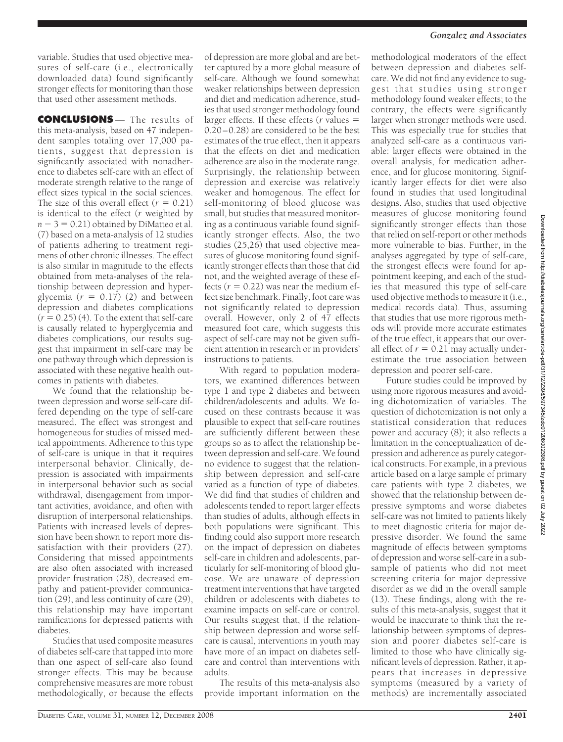variable. Studies that used objective measures of self-care (i.e., electronically downloaded data) found significantly stronger effects for monitoring than those that used other assessment methods.

**CONCLUSIONS** — The results of this meta-analysis, based on 47 independent samples totaling over 17,000 patients, suggest that depression is significantly associated with nonadherence to diabetes self-care with an effect of moderate strength relative to the range of effect sizes typical in the social sciences. The size of this overall effect  $(r = 0.21)$ is identical to the effect (*r* weighted by  $n - 3 = 0.21$ ) obtained by DiMatteo et al. (7) based on a meta-analysis of 12 studies of patients adhering to treatment regimens of other chronic illnesses. The effect is also similar in magnitude to the effects obtained from meta-analyses of the relationship between depression and hyperglycemia  $(r = 0.17)$  (2) and between depression and diabetes complications  $(r = 0.25)$  (4). To the extent that self-care is causally related to hyperglycemia and diabetes complications, our results suggest that impairment in self-care may be one pathway through which depression is associated with these negative health outcomes in patients with diabetes.

We found that the relationship between depression and worse self-care differed depending on the type of self-care measured. The effect was strongest and homogeneous for studies of missed medical appointments. Adherence to this type of self-care is unique in that it requires interpersonal behavior. Clinically, depression is associated with impairments in interpersonal behavior such as social withdrawal, disengagement from important activities, avoidance, and often with disruption of interpersonal relationships. Patients with increased levels of depression have been shown to report more dissatisfaction with their providers (27). Considering that missed appointments are also often associated with increased provider frustration (28), decreased empathy and patient-provider communication (29), and less continuity of care (29), this relationship may have important ramifications for depressed patients with diabetes.

Studies that used composite measures of diabetes self-care that tapped into more than one aspect of self-care also found stronger effects. This may be because comprehensive measures are more robust methodologically, or because the effects

of depression are more global and are better captured by a more global measure of self-care. Although we found somewhat weaker relationships between depression and diet and medication adherence, studies that used stronger methodology found larger effects. If these effects (*r* values 0.20–0.28) are considered to be the best estimates of the true effect, then it appears that the effects on diet and medication adherence are also in the moderate range. Surprisingly, the relationship between depression and exercise was relatively weaker and homogenous. The effect for self-monitoring of blood glucose was small, but studies that measured monitoring as a continuous variable found significantly stronger effects. Also, the two studies (25,26) that used objective measures of glucose monitoring found significantly stronger effects than those that did not, and the weighted average of these effects  $(r = 0.22)$  was near the medium effect size benchmark. Finally, foot care was not significantly related to depression overall. However, only 2 of 47 effects measured foot care, which suggests this aspect of self-care may not be given sufficient attention in research or in providers' instructions to patients.

With regard to population moderators, we examined differences between type 1 and type 2 diabetes and between children/adolescents and adults. We focused on these contrasts because it was plausible to expect that self-care routines are sufficiently different between these groups so as to affect the relationship between depression and self-care. We found no evidence to suggest that the relationship between depression and self-care varied as a function of type of diabetes. We did find that studies of children and adolescents tended to report larger effects than studies of adults, although effects in both populations were significant. This finding could also support more research on the impact of depression on diabetes self-care in children and adolescents, particularly for self-monitoring of blood glucose. We are unaware of depression treatment interventions that have targeted children or adolescents with diabetes to examine impacts on self-care or control. Our results suggest that, if the relationship between depression and worse selfcare is causal, interventions in youth may have more of an impact on diabetes selfcare and control than interventions with adults.

The results of this meta-analysis also provide important information on the

#### *Gonzalez and Associates*

methodological moderators of the effect between depression and diabetes selfcare. We did not find any evidence to suggest that studies using stronger methodology found weaker effects; to the contrary, the effects were significantly larger when stronger methods were used. This was especially true for studies that analyzed self-care as a continuous variable: larger effects were obtained in the overall analysis, for medication adherence, and for glucose monitoring. Significantly larger effects for diet were also found in studies that used longitudinal designs. Also, studies that used objective measures of glucose monitoring found significantly stronger effects than those that relied on self-report or other methods more vulnerable to bias. Further, in the analyses aggregated by type of self-care, the strongest effects were found for appointment keeping, and each of the studies that measured this type of self-care used objective methods to measure it (i.e., medical records data). Thus, assuming that studies that use more rigorous methods will provide more accurate estimates of the true effect, it appears that our overall effect of  $r = 0.21$  may actually underestimate the true association between depression and poorer self-care.

Future studies could be improved by using more rigorous measures and avoiding dichotomization of variables. The question of dichotomization is not only a statistical consideration that reduces power and accuracy (8); it also reflects a limitation in the conceptualization of depression and adherence as purely categorical constructs. For example, in a previous article based on a large sample of primary care patients with type 2 diabetes, we showed that the relationship between depressive symptoms and worse diabetes self-care was not limited to patients likely to meet diagnostic criteria for major depressive disorder. We found the same magnitude of effects between symptoms of depression and worse self-care in a subsample of patients who did not meet screening criteria for major depressive disorder as we did in the overall sample (13). These findings, along with the results of this meta-analysis, suggest that it would be inaccurate to think that the relationship between symptoms of depression and poorer diabetes self-care is limited to those who have clinically significant levels of depression. Rather, it appears that increases in depressive symptoms (measured by a variety of methods) are incrementally associated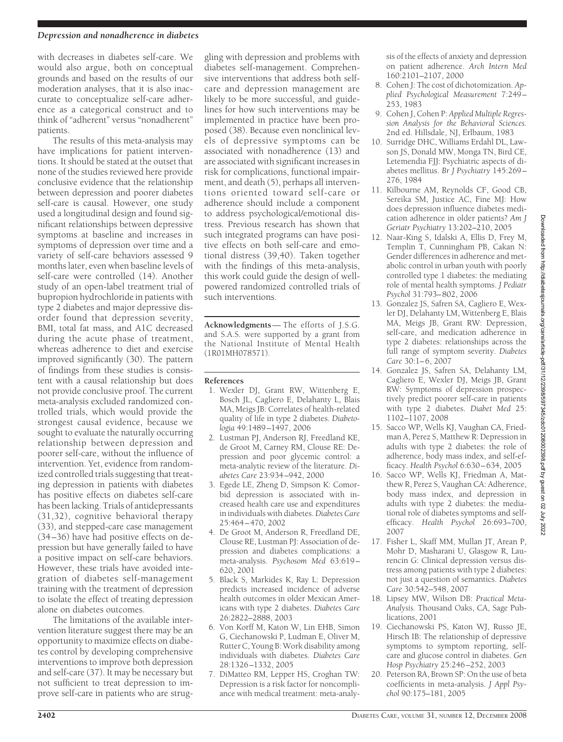#### *Depression and nonadherence in diabetes*

with decreases in diabetes self-care. We would also argue, both on conceptual grounds and based on the results of our moderation analyses, that it is also inaccurate to conceptualize self-care adherence as a categorical construct and to think of "adherent" versus "nonadherent" patients.

The results of this meta-analysis may have implications for patient interventions. It should be stated at the outset that none of the studies reviewed here provide conclusive evidence that the relationship between depression and poorer diabetes self-care is causal. However, one study used a longitudinal design and found significant relationships between depressive symptoms at baseline and increases in symptoms of depression over time and a variety of self-care behaviors assessed 9 months later, even when baseline levels of self-care were controlled (14). Another study of an open-label treatment trial of bupropion hydrochloride in patients with type 2 diabetes and major depressive disorder found that depression severity, BMI, total fat mass, and A1C decreased during the acute phase of treatment, whereas adherence to diet and exercise improved significantly (30). The pattern of findings from these studies is consistent with a causal relationship but does not provide conclusive proof. The current meta-analysis excluded randomized controlled trials, which would provide the strongest causal evidence, because we sought to evaluate the naturally occurring relationship between depression and poorer self-care, without the influence of intervention. Yet, evidence from randomized controlled trials suggesting that treating depression in patients with diabetes has positive effects on diabetes self-care has been lacking. Trials of antidepressants (31,32), cognitive behavioral therapy (33), and stepped-care case management (34–36) have had positive effects on depression but have generally failed to have a positive impact on self-care behaviors. However, these trials have avoided integration of diabetes self-management training with the treatment of depression to isolate the effect of treating depression alone on diabetes outcomes.

The limitations of the available intervention literature suggest there may be an opportunity to maximize effects on diabetes control by developing comprehensive interventions to improve both depression and self-care (37). It may be necessary but not sufficient to treat depression to improve self-care in patients who are strug-

gling with depression and problems with diabetes self-management. Comprehensive interventions that address both selfcare and depression management are likely to be more successful, and guidelines for how such interventions may be implemented in practice have been proposed (38). Because even nonclinical levels of depressive symptoms can be associated with nonadherence (13) and are associated with significant increases in risk for complications, functional impairment, and death (5), perhaps all interventions oriented toward self-care or adherence should include a component to address psychological/emotional distress. Previous research has shown that such integrated programs can have positive effects on both self-care and emotional distress (39,40). Taken together with the findings of this meta-analysis, this work could guide the design of wellpowered randomized controlled trials of such interventions.

**Acknowledgments**— The efforts of J.S.G. and S.A.S. were supported by a grant from the National Institute of Mental Health (1R01MH078571).

#### **References**

- 1. Wexler DJ, Grant RW, Wittenberg E, Bosch JL, Cagliero E, Delahanty L, Blais MA, Meigs JB: Correlates of health-related quality of life in type 2 diabetes. *Diabetologia* 49:1489–1497, 2006
- 2. Lustman PJ, Anderson RJ, Freedland KE, de Groot M, Carney RM, Clouse RE: Depression and poor glycemic control: a meta-analytic review of the literature. *Diabetes Care* 23:934–942, 2000
- 3. Egede LE, Zheng D, Simpson K: Comorbid depression is associated with increased health care use and expenditures in individuals with diabetes.*Diabetes Care* 25:464–470, 2002
- 4. De Groot M, Anderson R, Freedland DE, Clouse RE, Lustman PJ: Association of depression and diabetes complications: a meta-analysis. *Psychosom Med* 63:619– 620, 2001
- 5. Black S, Markides K, Ray L: Depression predicts increased incidence of adverse health outcomes in older Mexican Americans with type 2 diabetes. *Diabetes Care* 26:2822–2888, 2003
- 6. Von Korff M, Katon W, Lin EHB, Simon G, Ciechanowski P, Ludman E, Oliver M, Rutter C, Young B: Work disability among individuals with diabetes. *Diabetes Care* 28:1326–1332, 2005
- 7. DiMatteo RM, Lepper HS, Croghan TW: Depression is a risk factor for noncompliance with medical treatment: meta-analy-

sis of the effects of anxiety and depression on patient adherence. *Arch Intern Med* 160:2101–2107, 2000

- 8. Cohen J: The cost of dichotomization. *Applied Psychological Measurement* 7:249– 253, 1983
- 9. Cohen J, Cohen P: *Applied Multiple Regression Analysis for the Behavioral Sciences.* 2nd ed. Hillsdale, NJ, Erlbaum, 1983
- 10. Surridge DHC, Williams Erdahl DL, Lawson JS, Donald MW, Monga TN, Bird CE, Letemendia FJJ: Psychiatric aspects of diabetes mellitus. *Br J Psychiatry* 145:269– 276, 1984
- 11. Kilbourne AM, Reynolds CF, Good CB, Sereika SM, Justice AC, Fine MJ: How does depression influence diabetes medication adherence in older patients? *Am J Geriatr Psychiatry* 13:202–210, 2005
- 12. Naar-King S, Idalski A, Ellis D, Frey M, Templin T, Cunningham PB, Cakan N: Gender differences in adherence and metabolic control in urban youth with poorly controlled type 1 diabetes: the mediating role of mental health symptoms. *J Pediatr Psychol* 31:793–802, 2006
- 13. Gonzalez JS, Safren SA, Cagliero E, Wexler DJ, Delahanty LM, Wittenberg E, Blais MA, Meigs JB, Grant RW: Depression, self-care, and medication adherence in type 2 diabetes: relationships across the full range of symptom severity. *Diabetes Care* 30:1–6, 2007
- 14. Gonzalez JS, Safren SA, Delahanty LM, Cagliero E, Wexler DJ, Meigs JB, Grant RW: Symptoms of depression prospectively predict poorer self-care in patients with type 2 diabetes. *Diabet Med* 25: 1102–1107, 2008
- 15. Sacco WP, Wells KJ, Vaughan CA, Friedman A, Perez S, Matthew R: Depression in adults with type 2 diabetes: the role of adherence, body mass index, and self-efficacy. *Health Psychol* 6:630–634, 2005
- 16. Sacco WP, Wells KJ, Friedman A, Matthew R, Perez S, Vaughan CA: Adherence, body mass index, and depression in adults with type 2 diabetes: the mediational role of diabetes symptoms and selfefficacy. *Health Psychol* 26:693–700, 2007
- 17. Fisher L, Skaff MM, Mullan JT, Arean P, Mohr D, Masharani U, Glasgow R, Laurencin G: Clinical depression versus distress among patients with type 2 diabetes: not just a question of semantics. *Diabetes Care* 30:542–548, 2007
- 18. Lipsey MW, Wilson DB: *Practical Meta-Analysis.* Thousand Oaks, CA, Sage Publications, 2001
- 19. Ciechanowski PS, Katon WJ, Russo JE, Hirsch IB: The relationship of depressive symptoms to symptom reporting, selfcare and glucose control in diabetes. *Gen Hosp Psychiatry* 25:246–252, 2003
- 20. Peterson RA, Brown SP: On the use of beta coefficients in meta-analysis. *J Appl Psychol* 90:175–181, 2005